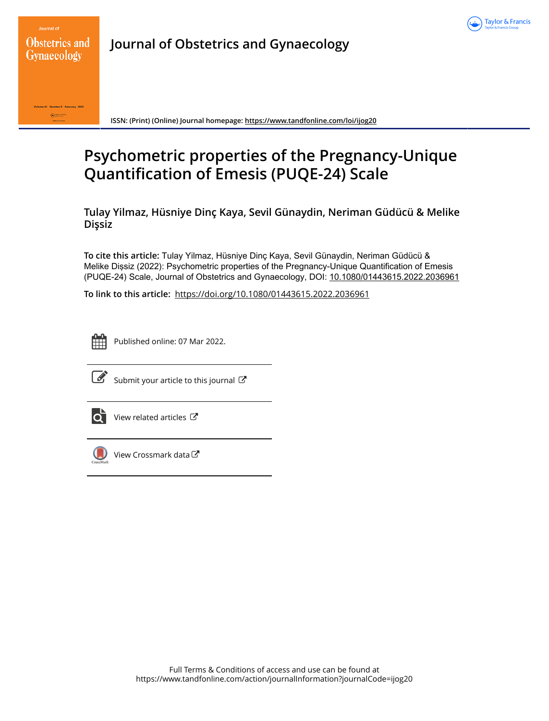

Journal of **Obstetrics and Gynaecology** 

**Journal of Obstetrics and Gynaecology**



**ISSN: (Print) (Online) Journal homepage:<https://www.tandfonline.com/loi/ijog20>**

# **Psychometric properties of the Pregnancy-Unique Quantification of Emesis (PUQE-24) Scale**

**Tulay Yilmaz, Hüsniye Dinç Kaya, Sevil Günaydin, Neriman Güdücü & Melike Dişsiz**

**To cite this article:** Tulay Yilmaz, Hüsniye Dinç Kaya, Sevil Günaydin, Neriman Güdücü & Melike Dişsiz (2022): Psychometric properties of the Pregnancy-Unique Quantification of Emesis (PUQE-24) Scale, Journal of Obstetrics and Gynaecology, DOI: [10.1080/01443615.2022.2036961](https://www.tandfonline.com/action/showCitFormats?doi=10.1080/01443615.2022.2036961)

**To link to this article:** <https://doi.org/10.1080/01443615.2022.2036961>



Published online: 07 Mar 2022.



 $\overrightarrow{S}$  [Submit your article to this journal](https://www.tandfonline.com/action/authorSubmission?journalCode=ijog20&show=instructions)  $\overrightarrow{S}$ 



[View related articles](https://www.tandfonline.com/doi/mlt/10.1080/01443615.2022.2036961) C



[View Crossmark data](http://crossmark.crossref.org/dialog/?doi=10.1080/01443615.2022.2036961&domain=pdf&date_stamp=2022-03-07) $\mathbb{Z}$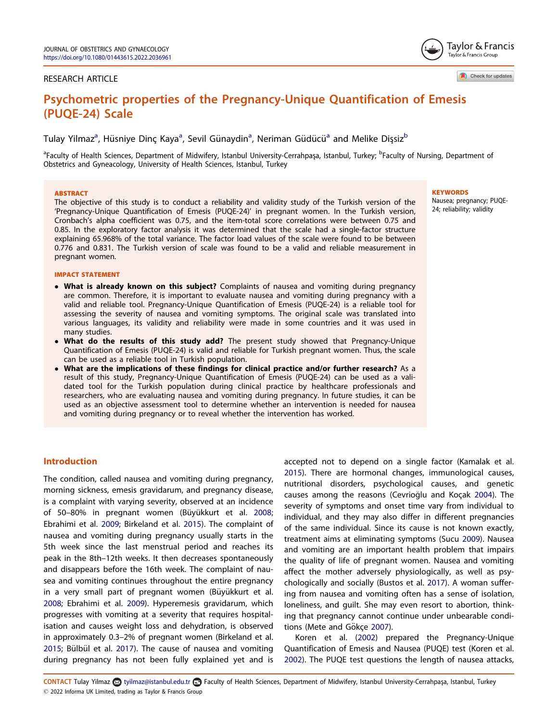# <span id="page-1-0"></span>RESEARCH ARTICLE

# Psychometric properties of the Pregnancy-Unique Quantification of Emesis  $\sum_{i=1}^{n}$

Tulay Yilmaz<sup>a</sup>, Hüsniye Dinç Kaya<sup>a</sup>, Sevil Günaydin<sup>a</sup>, Neriman Güdücü<sup>a</sup> and Melike Dişsiz<sup>b</sup>

<sup>a</sup>Faculty of Health Sciences, Department of Midwifery, Istanbul University-Cerrahpaşa, Istanbul, Turkey; <sup>b</sup>Faculty of Nursing, Department of Obstetrics and Gyneacology, University of Health Sciences, Istanbul, Turkey

#### **ABSTRACT**

The objective of this study is to conduct a reliability and validity study of the Turkish version of the 'Pregnancy-Unique Quantification of Emesis (PUQE-24)' in pregnant women. In the Turkish version, Cronbach's alpha coefficient was 0.75, and the item-total score correlations were between 0.75 and 0.85. In the exploratory factor analysis it was determined that the scale had a single-factor structure explaining 65.968% of the total variance. The factor load values of the scale were found to be between 0.776 and 0.831. The Turkish version of scale was found to be a valid and reliable measurement in pregnant women.

#### IMPACT STATEMENT

- What is already known on this subject? Complaints of nausea and vomiting during pregnancy are common. Therefore, it is important to evaluate nausea and vomiting during pregnancy with a valid and reliable tool. Pregnancy-Unique Quantification of Emesis (PUQE-24) is a reliable tool for assessing the severity of nausea and vomiting symptoms. The original scale was translated into various languages, its validity and reliability were made in some countries and it was used in many studies.
- What do the results of this study add? The present study showed that Pregnancy-Unique Quantification of Emesis (PUQE-24) is valid and reliable for Turkish pregnant women. Thus, the scale can be used as a reliable tool in Turkish population.
- What are the implications of these findings for clinical practice and/or further research? As a result of this study, Pregnancy-Unique Quantification of Emesis (PUQE-24) can be used as a validated tool for the Turkish population during clinical practice by healthcare professionals and researchers, who are evaluating nausea and vomiting during pregnancy. In future studies, it can be used as an objective assessment tool to determine whether an intervention is needed for nausea and vomiting during pregnancy or to reveal whether the intervention has worked.

# **KEYWORDS**

Nausea; pregnancy; PUQE-24; reliability; validity

# Introduction

The condition, called nausea and vomiting during pregnancy, morning sickness, emesis gravidarum, and pregnancy disease, is a complaint with varying severity, observed at an incidence of 50–80% in pregnant women (Büyükkurt et al. [2008](#page-6-0); Ebrahimi et al. [2009;](#page-6-0) Birkeland et al. [2015](#page-6-0)). The complaint of nausea and vomiting during pregnancy usually starts in the 5th week since the last menstrual period and reaches its peak in the 8th–12th weeks. It then decreases spontaneously and disappears before the 16th week. The complaint of nausea and vomiting continues throughout the entire pregnancy in a very small part of pregnant women (Büyükkurt et al. [2008](#page-6-0); Ebrahimi et al. [2009\)](#page-6-0). Hyperemesis gravidarum, which progresses with vomiting at a severity that requires hospitalisation and causes weight loss and dehydration, is observed in approximately 0.3–2% of pregnant women (Birkeland et al. [2015](#page-6-0); Bülbül et al. [2017\)](#page-6-0). The cause of nausea and vomiting during pregnancy has not been fully explained yet and is

accepted not to depend on a single factor (Kamalak et al. [2015](#page-6-0)). There are hormonal changes, immunological causes, nutritional disorders, psychological causes, and genetic causes among the reasons (Cevrioğlu and Koçak [2004](#page-6-0)). The severity of symptoms and onset time vary from individual to individual, and they may also differ in different pregnancies of the same individual. Since its cause is not known exactly, treatment aims at eliminating symptoms (Sucu [2009\)](#page-7-0). Nausea and vomiting are an important health problem that impairs the quality of life of pregnant women. Nausea and vomiting affect the mother adversely physiologically, as well as psychologically and socially (Bustos et al. [2017\)](#page-6-0). A woman suffering from nausea and vomiting often has a sense of isolation, loneliness, and guilt. She may even resort to abortion, thinking that pregnancy cannot continue under unbearable condi-tions (Mete and Gökce [2007\)](#page-7-0).

Koren et al. ([2002](#page-6-0)) prepared the Pregnancy-Unique Quantification of Emesis and Nausea (PUQE) test (Koren et al. [2002](#page-6-0)). The PUQE test questions the length of nausea attacks,

CONTACT Tulay Yilmaz a tyilmaz@istanbul.edu.tr **B** Faculty of Health Sciences, Department of Midwifery, Istanbul University-Cerrahpaşa, Istanbul, Turkey 2022 Informa UK Limited, trading as Taylor & Francis Group



Check for updates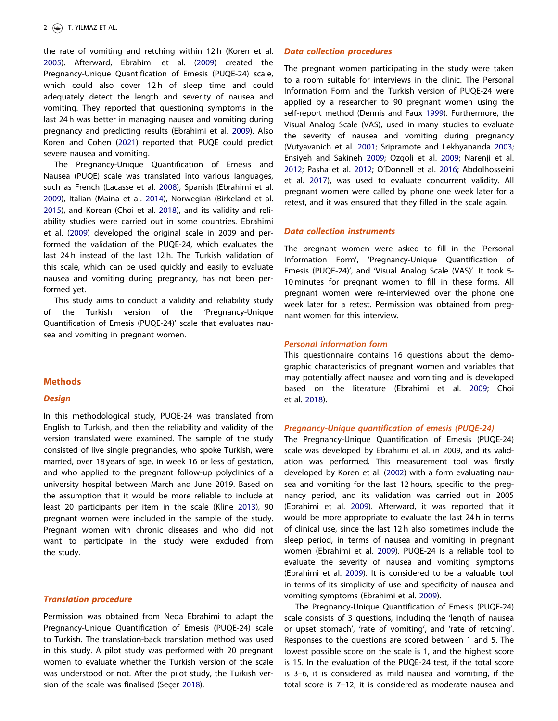<span id="page-2-0"></span>the rate of vomiting and retching within 12 h (Koren et al. [2005](#page-7-0)). Afterward, Ebrahimi et al. ([2009](#page-6-0)) created the Pregnancy-Unique Quantification of Emesis (PUQE-24) scale, which could also cover 12h of sleep time and could adequately detect the length and severity of nausea and vomiting. They reported that questioning symptoms in the last 24 h was better in managing nausea and vomiting during pregnancy and predicting results (Ebrahimi et al. [2009](#page-6-0)). Also Koren and Cohen ([2021](#page-6-0)) reported that PUQE could predict severe nausea and vomiting.

The Pregnancy-Unique Quantification of Emesis and Nausea (PUQE) scale was translated into various languages, such as French (Lacasse et al. [2008](#page-7-0)), Spanish (Ebrahimi et al. [2009](#page-6-0)), Italian (Maina et al. [2014](#page-7-0)), Norwegian (Birkeland et al. [2015](#page-6-0)), and Korean (Choi et al. [2018\)](#page-6-0), and its validity and reliability studies were carried out in some countries. Ebrahimi et al. ([2009](#page-6-0)) developed the original scale in 2009 and performed the validation of the PUQE-24, which evaluates the last 24h instead of the last 12h. The Turkish validation of this scale, which can be used quickly and easily to evaluate nausea and vomiting during pregnancy, has not been performed yet.

This study aims to conduct a validity and reliability study of the Turkish version of the 'Pregnancy-Unique Quantification of Emesis (PUQE-24)' scale that evaluates nausea and vomiting in pregnant women.

# **Methods**

#### **Design**

In this methodological study, PUQE-24 was translated from English to Turkish, and then the reliability and validity of the version translated were examined. The sample of the study consisted of live single pregnancies, who spoke Turkish, were married, over 18 years of age, in week 16 or less of gestation, and who applied to the pregnant follow-up polyclinics of a university hospital between March and June 2019. Based on the assumption that it would be more reliable to include at least 20 participants per item in the scale (Kline [2013\)](#page-6-0), 90 pregnant women were included in the sample of the study. Pregnant women with chronic diseases and who did not want to participate in the study were excluded from the study.

# Translation procedure

Permission was obtained from Neda Ebrahimi to adapt the Pregnancy-Unique Quantification of Emesis (PUQE-24) scale to Turkish. The translation-back translation method was used in this study. A pilot study was performed with 20 pregnant women to evaluate whether the Turkish version of the scale was understood or not. After the pilot study, the Turkish ver-sion of the scale was finalised (Secer [2018\)](#page-7-0).

#### Data collection procedures

The pregnant women participating in the study were taken to a room suitable for interviews in the clinic. The Personal Information Form and the Turkish version of PUQE-24 were applied by a researcher to 90 pregnant women using the self-report method (Dennis and Faux [1999\)](#page-6-0). Furthermore, the Visual Analog Scale (VAS), used in many studies to evaluate the severity of nausea and vomiting during pregnancy (Vutyavanich et al. [2001;](#page-7-0) Sripramote and Lekhyananda [2003](#page-7-0); Ensiyeh and Sakineh [2009;](#page-6-0) Ozgoli et al. [2009;](#page-7-0) Narenji et al. [2012](#page-7-0); Pasha et al. [2012](#page-7-0); O'Donnell et al. [2016;](#page-7-0) Abdolhosseini et al. [2017](#page-6-0)), was used to evaluate concurrent validity. All pregnant women were called by phone one week later for a retest, and it was ensured that they filled in the scale again.

#### Data collection instruments

The pregnant women were asked to fill in the 'Personal Information Form', 'Pregnancy-Unique Quantification of Emesis (PUQE-24)', and 'Visual Analog Scale (VAS)'. It took 5- 10 minutes for pregnant women to fill in these forms. All pregnant women were re-interviewed over the phone one week later for a retest. Permission was obtained from pregnant women for this interview.

#### Personal information form

This questionnaire contains 16 questions about the demographic characteristics of pregnant women and variables that may potentially affect nausea and vomiting and is developed based on the literature (Ebrahimi et al. [2009;](#page-6-0) Choi et al. [2018\)](#page-6-0).

# Pregnancy-Unique quantification of emesis (PUQE-24)

The Pregnancy-Unique Quantification of Emesis (PUQE-24) scale was developed by Ebrahimi et al. in 2009, and its validation was performed. This measurement tool was firstly developed by Koren et al. ([2002\)](#page-6-0) with a form evaluating nausea and vomiting for the last 12 hours, specific to the pregnancy period, and its validation was carried out in 2005 (Ebrahimi et al. [2009](#page-6-0)). Afterward, it was reported that it would be more appropriate to evaluate the last 24 h in terms of clinical use, since the last 12 h also sometimes include the sleep period, in terms of nausea and vomiting in pregnant women (Ebrahimi et al. [2009\)](#page-6-0). PUQE-24 is a reliable tool to evaluate the severity of nausea and vomiting symptoms (Ebrahimi et al. [2009\)](#page-6-0). It is considered to be a valuable tool in terms of its simplicity of use and specificity of nausea and vomiting symptoms (Ebrahimi et al. [2009\)](#page-6-0).

The Pregnancy-Unique Quantification of Emesis (PUQE-24) scale consists of 3 questions, including the 'length of nausea or upset stomach', 'rate of vomiting', and 'rate of retching'. Responses to the questions are scored between 1 and 5. The lowest possible score on the scale is 1, and the highest score is 15. In the evaluation of the PUQE-24 test, if the total score is 3–6, it is considered as mild nausea and vomiting, if the total score is 7–12, it is considered as moderate nausea and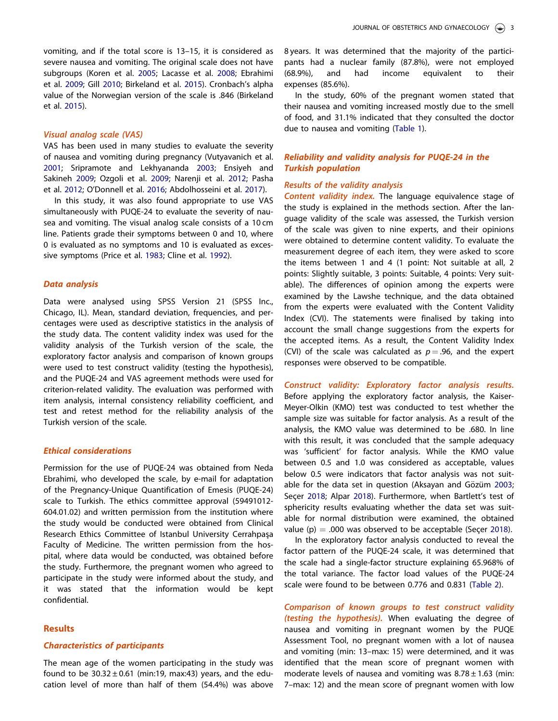<span id="page-3-0"></span>vomiting, and if the total score is 13–15, it is considered as severe nausea and vomiting. The original scale does not have subgroups (Koren et al. [2005](#page-7-0); Lacasse et al. [2008](#page-7-0); Ebrahimi et al. [2009](#page-6-0); Gill [2010](#page-6-0); Birkeland et al. [2015\)](#page-6-0). Cronbach's alpha value of the Norwegian version of the scale is .846 (Birkeland et al. [2015](#page-6-0)).

## Visual analog scale (VAS)

VAS has been used in many studies to evaluate the severity of nausea and vomiting during pregnancy (Vutyavanich et al. [2001](#page-7-0); Sripramote and Lekhyananda [2003](#page-7-0); Ensiyeh and Sakineh [2009](#page-6-0); Ozgoli et al. [2009](#page-7-0); Narenji et al. [2012](#page-7-0); Pasha et al. [2012](#page-7-0); O'Donnell et al. [2016](#page-7-0); Abdolhosseini et al. [2017](#page-6-0)).

In this study, it was also found appropriate to use VAS simultaneously with PUQE-24 to evaluate the severity of nausea and vomiting. The visual analog scale consists of a 10 cm line. Patients grade their symptoms between 0 and 10, where 0 is evaluated as no symptoms and 10 is evaluated as excessive symptoms (Price et al. [1983;](#page-7-0) Cline et al. [1992\)](#page-6-0).

# Data analysis

Data were analysed using SPSS Version 21 (SPSS Inc., Chicago, IL). Mean, standard deviation, frequencies, and percentages were used as descriptive statistics in the analysis of the study data. The content validity index was used for the validity analysis of the Turkish version of the scale, the exploratory factor analysis and comparison of known groups were used to test construct validity (testing the hypothesis), and the PUQE-24 and VAS agreement methods were used for criterion-related validity. The evaluation was performed with item analysis, internal consistency reliability coefficient, and test and retest method for the reliability analysis of the Turkish version of the scale.

## Ethical considerations

Permission for the use of PUQE-24 was obtained from Neda Ebrahimi, who developed the scale, by e-mail for adaptation of the Pregnancy-Unique Quantification of Emesis (PUQE-24) scale to Turkish. The ethics committee approval (59491012- 604.01.02) and written permission from the institution where the study would be conducted were obtained from Clinical Research Ethics Committee of Istanbul University Cerrahpasa Faculty of Medicine. The written permission from the hospital, where data would be conducted, was obtained before the study. Furthermore, the pregnant women who agreed to participate in the study were informed about the study, and it was stated that the information would be kept confidential.

# **Results**

## Characteristics of participants

The mean age of the women participating in the study was found to be  $30.32 \pm 0.61$  (min:19, max:43) years, and the education level of more than half of them (54.4%) was above

8 years. It was determined that the majority of the participants had a nuclear family (87.8%), were not employed (68.9%), and had income equivalent to their expenses (85.6%).

In the study, 60% of the pregnant women stated that their nausea and vomiting increased mostly due to the smell of food, and 31.1% indicated that they consulted the doctor due to nausea and vomiting [\(Table 1](#page-4-0)).

# Reliability and validity analysis for PUQE-24 in the Turkish population

# Results of the validity analysis

Content validity index. The language equivalence stage of the study is explained in the methods section. After the language validity of the scale was assessed, the Turkish version of the scale was given to nine experts, and their opinions were obtained to determine content validity. To evaluate the measurement degree of each item, they were asked to score the items between 1 and 4 (1 point: Not suitable at all, 2 points: Slightly suitable, 3 points: Suitable, 4 points: Very suitable). The differences of opinion among the experts were examined by the Lawshe technique, and the data obtained from the experts were evaluated with the Content Validity Index (CVI). The statements were finalised by taking into account the small change suggestions from the experts for the accepted items. As a result, the Content Validity Index (CVI) of the scale was calculated as  $p = .96$ , and the expert responses were observed to be compatible.

Construct validity: Exploratory factor analysis results. Before applying the exploratory factor analysis, the Kaiser-Meyer-Olkin (KMO) test was conducted to test whether the sample size was suitable for factor analysis. As a result of the analysis, the KMO value was determined to be .680. In line with this result, it was concluded that the sample adequacy was 'sufficient' for factor analysis. While the KMO value between 0.5 and 1.0 was considered as acceptable, values below 0.5 were indicators that factor analysis was not suit-able for the data set in question (Aksayan and Gözüm [2003](#page-6-0); Seçer [2018;](#page-7-0) Alpar [2018](#page-6-0)). Furthermore, when Bartlett's test of sphericity results evaluating whether the data set was suitable for normal distribution were examined, the obtained value (p)  $= .000$  was observed to be acceptable (Secer [2018\)](#page-7-0).

In the exploratory factor analysis conducted to reveal the factor pattern of the PUQE-24 scale, it was determined that the scale had a single-factor structure explaining 65.968% of the total variance. The factor load values of the PUQE-24 scale were found to be between 0.776 and 0.831 ([Table 2\)](#page-4-0).

Comparison of known groups to test construct validity (testing the hypothesis). When evaluating the degree of nausea and vomiting in pregnant women by the PUQE Assessment Tool, no pregnant women with a lot of nausea and vomiting (min: 13–max: 15) were determined, and it was identified that the mean score of pregnant women with moderate levels of nausea and vomiting was  $8.78 \pm 1.63$  (min: 7–max: 12) and the mean score of pregnant women with low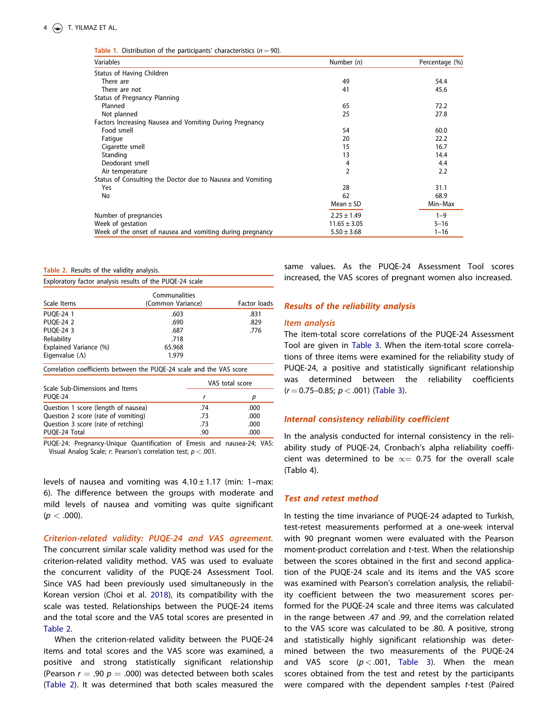<span id="page-4-0"></span>Table 1. Distribution of the participants' characteristics  $(n = 90)$ .

| Variables                                                  | Number $(n)$     | Percentage (%) |  |
|------------------------------------------------------------|------------------|----------------|--|
| Status of Having Children                                  |                  |                |  |
| There are                                                  | 49               | 54.4           |  |
| There are not                                              | 41               | 45.6           |  |
| Status of Pregnancy Planning                               |                  |                |  |
| Planned                                                    | 65               | 72.2           |  |
| Not planned                                                | 25               | 27.8           |  |
| Factors Increasing Nausea and Vomiting During Pregnancy    |                  |                |  |
| Food smell                                                 | 54               | 60.0           |  |
| Fatigue                                                    | 20               | 22.2           |  |
| Cigarette smell                                            | 15               | 16.7           |  |
| Standing                                                   | 13               | 14.4           |  |
| Deodorant smell                                            | 4                | 4.4            |  |
| Air temperature                                            | 2                | 2.2            |  |
| Status of Consulting the Doctor due to Nausea and Vomiting |                  |                |  |
| Yes                                                        | 28               | 31.1           |  |
| No                                                         | 62               | 68.9           |  |
|                                                            | Mean $\pm$ SD    | Min-Max        |  |
| Number of pregnancies                                      | $2.25 \pm 1.49$  | $1 - 9$        |  |
| Week of gestation                                          | $11.65 \pm 3.05$ | $5 - 16$       |  |
| Week of the onset of nausea and vomiting during pregnancy  | $5.50 \pm 3.68$  | $1 - 16$       |  |

Table 2. Results of the validity analysis.

Exploratory factor analysis results of the PUQE-24 scale

| Scale Items                                                          | Communalities<br>(Common Variance) | Factor loads    |      |  |  |
|----------------------------------------------------------------------|------------------------------------|-----------------|------|--|--|
| <b>PUOE-24 1</b>                                                     | .603                               |                 | .831 |  |  |
| <b>PUOE-24 2</b>                                                     | .690                               |                 | .829 |  |  |
| <b>PUOE-24 3</b>                                                     | .687                               |                 | .776 |  |  |
| Reliability                                                          | .718                               |                 |      |  |  |
| Explained Variance (%)                                               | 65.968                             |                 |      |  |  |
| Eigenvalue $(\Lambda)$                                               | 1.979                              |                 |      |  |  |
| Correlation coefficients between the PUQE-24 scale and the VAS score |                                    |                 |      |  |  |
| Scale Sub-Dimensions and Items                                       |                                    | VAS total score |      |  |  |
| PUOE-24                                                              |                                    | r               | р    |  |  |
| Question 1 score (length of nausea)                                  |                                    | .74             | .000 |  |  |
| Question 2 score (rate of vomiting)                                  |                                    | .73             | .000 |  |  |
| Question 3 score (rate of retching)                                  |                                    | .73             | .000 |  |  |
| PUOE-24 Total                                                        |                                    | .90             | .000 |  |  |

PUQE-24: Pregnancy-Unique Quantification of Emesis and nausea-24; VAS: Visual Analog Scale; r: Pearson's correlation test;  $p < .001$ .

levels of nausea and vomiting was  $4.10 \pm 1.17$  (min: 1-max: 6). The difference between the groups with moderate and mild levels of nausea and vomiting was quite significant  $(p < .000)$ .

Criterion-related validity: PUQE-24 and VAS agreement. The concurrent similar scale validity method was used for the criterion-related validity method. VAS was used to evaluate the concurrent validity of the PUQE-24 Assessment Tool. Since VAS had been previously used simultaneously in the Korean version (Choi et al. [2018\)](#page-6-0), its compatibility with the scale was tested. Relationships between the PUQE-24 items and the total score and the VAS total scores are presented in Table 2.

When the criterion-related validity between the PUQE-24 items and total scores and the VAS score was examined, a positive and strong statistically significant relationship (Pearson  $r = .90$   $p = .000$ ) was detected between both scales (Table 2). It was determined that both scales measured the

same values. As the PUQE-24 Assessment Tool scores increased, the VAS scores of pregnant women also increased.

# Results of the reliability analysis

#### Item analysis

The item-total score correlations of the PUQE-24 Assessment Tool are given in [Table 3.](#page-5-0) When the item-total score correlations of three items were examined for the reliability study of PUQE-24, a positive and statistically significant relationship was determined between the reliability coefficients  $(r = 0.75 - 0.85; p < .001)$  ([Table 3\)](#page-5-0).

## Internal consistency reliability coefficient

In the analysis conducted for internal consistency in the reliability study of PUQE-24, Cronbach's alpha reliability coefficient was determined to be  $\propto$  0.75 for the overall scale (Tablo 4).

# Test and retest method

In testing the time invariance of PUQE-24 adapted to Turkish, test-retest measurements performed at a one-week interval with 90 pregnant women were evaluated with the Pearson moment-product correlation and t-test. When the relationship between the scores obtained in the first and second application of the PUQE-24 scale and its items and the VAS score was examined with Pearson's correlation analysis, the reliability coefficient between the two measurement scores performed for the PUQE-24 scale and three items was calculated in the range between .47 and .99, and the correlation related to the VAS score was calculated to be .80. A positive, strong and statistically highly significant relationship was determined between the two measurements of the PUQE-24 and VAS score ( $p < .001$ , [Table 3](#page-5-0)). When the mean scores obtained from the test and retest by the participants were compared with the dependent samples t-test (Paired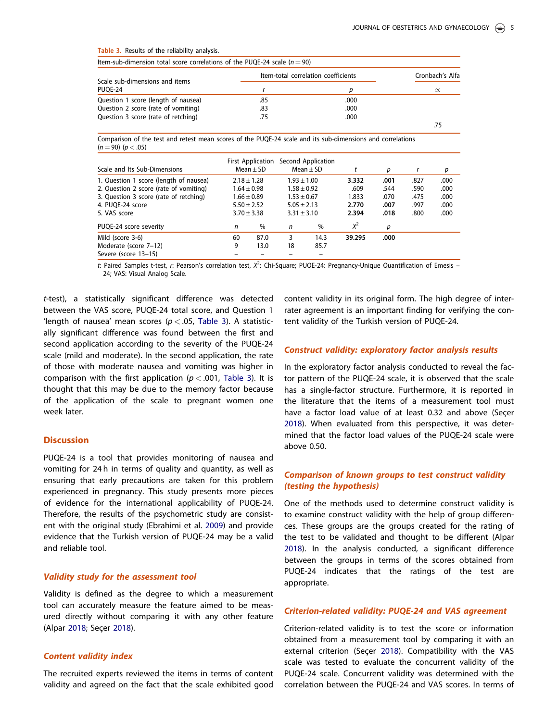#### <span id="page-5-0"></span>Table 3. Results of the reliability analysis.

| Scale sub-dimensions and items<br>PUOE-24 | Item-total correlation coefficients | Cronbach's Alfa |           |  |
|-------------------------------------------|-------------------------------------|-----------------|-----------|--|
|                                           |                                     |                 | $\propto$ |  |
| Question 1 score (length of nausea)       | .85                                 | .000            |           |  |
| Question 2 score (rate of vomiting)       | .83                                 | .000            |           |  |
| Question 3 score (rate of retching)       | .75                                 | .000            |           |  |
|                                           |                                     |                 |           |  |

Comparison of the test and retest mean scores of the PUQE-24 scale and its sub-dimensions and correlations  $(n = 90)$   $(p < .05)$ 

| Scale and Its Sub-Dimensions           |    | <b>First Application</b><br>Mean $\pm$ SD |                 | Second Application<br>$Mean \pm SD$ |        | р    | r    | р    |
|----------------------------------------|----|-------------------------------------------|-----------------|-------------------------------------|--------|------|------|------|
| 1. Question 1 score (length of nausea) |    | $2.18 \pm 1.28$                           | $1.93 \pm 1.00$ |                                     | 3.332  | .001 | .827 | .000 |
| 2. Question 2 score (rate of vomiting) |    | $1.64 \pm 0.98$                           | $1.58 \pm 0.92$ |                                     | .609   | .544 | .590 | .000 |
| 3. Question 3 score (rate of retching) |    | $1.66 \pm 0.89$                           | $1.53 \pm 0.67$ |                                     | 1.833  | .070 | .475 | .000 |
| 4. PUOE-24 score                       |    | $5.50 \pm 2.52$                           | $5.05 \pm 2.13$ |                                     | 2.770  | .007 | .997 | .000 |
| 5. VAS score                           |    | $3.70 \pm 3.38$                           | $3.31 \pm 3.10$ |                                     | 2.394  | .018 | .800 | .000 |
| PUQE-24 score severity                 | n  | %                                         | n               | %                                   | $X^2$  | р    |      |      |
| Mild (score 3-6)                       | 60 | 87.0                                      | 3               | 14.3                                | 39.295 | .000 |      |      |
| Moderate (score 7-12)                  | 9  | 13.0                                      | 18              | 85.7                                |        |      |      |      |
| Severe (score 13-15)                   |    |                                           |                 |                                     |        |      |      |      |

t: Paired Samples t-test, r: Pearson's correlation test,  $X^2$ : Chi-Square; PUQE-24: Pregnancy-Unique Quantification of Emesis – 24; VAS: Visual Analog Scale.

t-test), a statistically significant difference was detected between the VAS score, PUQE-24 total score, and Question 1 'length of nausea' mean scores ( $p < .05$ , Table 3). A statistically significant difference was found between the first and second application according to the severity of the PUQE-24 scale (mild and moderate). In the second application, the rate of those with moderate nausea and vomiting was higher in comparison with the first application ( $p < .001$ , Table 3). It is thought that this may be due to the memory factor because of the application of the scale to pregnant women one week later.

# **Discussion**

PUQE-24 is a tool that provides monitoring of nausea and vomiting for 24 h in terms of quality and quantity, as well as ensuring that early precautions are taken for this problem experienced in pregnancy. This study presents more pieces of evidence for the international applicability of PUQE-24. Therefore, the results of the psychometric study are consistent with the original study (Ebrahimi et al. [2009\)](#page-6-0) and provide evidence that the Turkish version of PUQE-24 may be a valid and reliable tool.

# Validity study for the assessment tool

Validity is defined as the degree to which a measurement tool can accurately measure the feature aimed to be measured directly without comparing it with any other feature (Alpar [2018](#page-6-0); Seçer [2018\)](#page-7-0).

# Content validity index

The recruited experts reviewed the items in terms of content validity and agreed on the fact that the scale exhibited good

content validity in its original form. The high degree of interrater agreement is an important finding for verifying the content validity of the Turkish version of PUQE-24.

## Construct validity: exploratory factor analysis results

In the exploratory factor analysis conducted to reveal the factor pattern of the PUQE-24 scale, it is observed that the scale has a single-factor structure. Furthermore, it is reported in the literature that the items of a measurement tool must have a factor load value of at least 0.32 and above (Secer [2018](#page-7-0)). When evaluated from this perspective, it was determined that the factor load values of the PUQE-24 scale were above 0.50.

# Comparison of known groups to test construct validity (testing the hypothesis)

One of the methods used to determine construct validity is to examine construct validity with the help of group differences. These groups are the groups created for the rating of the test to be validated and thought to be different (Alpar [2018](#page-6-0)). In the analysis conducted, a significant difference between the groups in terms of the scores obtained from PUQE-24 indicates that the ratings of the test are appropriate.

## Criterion-related validity: PUQE-24 and VAS agreement

Criterion-related validity is to test the score or information obtained from a measurement tool by comparing it with an external criterion (Secer [2018\)](#page-7-0). Compatibility with the VAS scale was tested to evaluate the concurrent validity of the PUQE-24 scale. Concurrent validity was determined with the correlation between the PUQE-24 and VAS scores. In terms of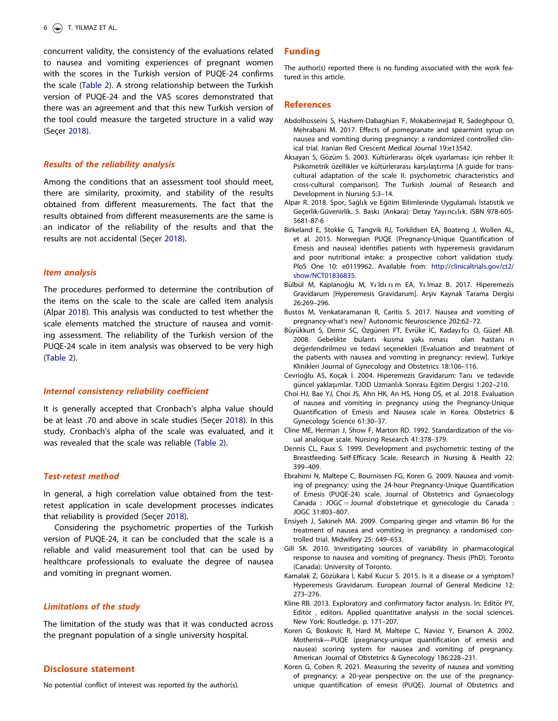<span id="page-6-0"></span>concurrent validity, the consistency of the evaluations related to nausea and vomiting experiences of pregnant women with the scores in the Turkish version of PUQE-24 confirms the scale ([Table 2\)](#page-4-0). A strong relationship between the Turkish version of PUQE-24 and the VAS scores demonstrated that there was an agreement and that this new Turkish version of the tool could measure the targeted structure in a valid way (Seçer [2018\)](#page-7-0).

# Results of the reliability analysis

Among the conditions that an assessment tool should meet, there are similarity, proximity, and stability of the results obtained from different measurements. The fact that the results obtained from different measurements are the same is an indicator of the reliability of the results and that the results are not accidental (Seçer [2018](#page-7-0)).

# Item analysis

The procedures performed to determine the contribution of the items on the scale to the scale are called item analysis (Alpar 2018). This analysis was conducted to test whether the scale elements matched the structure of nausea and vomiting assessment. The reliability of the Turkish version of the PUQE-24 scale in item analysis was observed to be very high ([Table 2](#page-4-0)).

# Internal consistency reliability coefficient

It is generally accepted that Cronbach's alpha value should be at least .70 and above in scale studies (Secer [2018\)](#page-7-0). In this study, Cronbach's alpha of the scale was evaluated, and it was revealed that the scale was reliable ([Table 2](#page-4-0)).

## Test-retest method

In general, a high correlation value obtained from the testretest application in scale development processes indicates that reliability is provided (Secer [2018](#page-7-0)).

Considering the psychometric properties of the Turkish version of PUQE-24, it can be concluded that the scale is a reliable and valid measurement tool that can be used by healthcare professionals to evaluate the degree of nausea and vomiting in pregnant women.

# Limitations of the study

The limitation of the study was that it was conducted across the pregnant population of a single university hospital.

## Disclosure statement

No potential conflict of interest was reported by the author(s).

#### Funding

The author(s) reported there is no funding associated with the work featured in this article.

# **References**

- Abdolhosseini S, Hashem-Dabaghian F, Mokaberinejad R, Sadeghpour O, Mehrabani M. [2017.](#page-2-0) Effects of pomegranate and spearmint syrup on nausea and vomiting during pregnancy: a randomized controlled clinical trial. Iranian Red Crescent Medical Journal 19:e13542.
- Aksayan S, Gözüm S, [2003.](#page-3-0) Kültürlerarası ölcek uyarlaması icin rehber II: Psikometrik özellikler ve kültürlerarası karşılaştırma [A guide for transcultural adaptation of the scale II: psychometric characteristics and cross-cultural comparison]. The Turkish Journal of Research and Development in Nursing 5:3–14.
- Alpar R. [2018.](#page-3-0) Spor, Sağlık ve Eğitim Bilimlerinde Uygulamalı İstatistik ve Geçerlik-Güvenirlik. 5. Baskı (Ankara): Detay Yayıncılık. ISBN 978-605-5681-87-6
- Birkeland E, Stokke G, Tangvik RJ, Torkildsen EA, Boateng J, Wollen AL, et al. [2015.](#page-1-0) Norwegian PUQE (Pregnancy-Unique Quantification of Emesis and nausea) identifies patients with hyperemesis gravidarum and poor nutritional intake: a prospective cohort validation study. PloS One 10: e0119962. Available from: [http://clinicaltrials.gov/ct2/](http://clinicaltrials.gov/ct2/show/NCT01836835) [show/NCT01836835](http://clinicaltrials.gov/ct2/show/NCT01836835).
- Bülbül M, Kaplanoğlu M, Yıldırım EA, Yılmaz B. [2017](#page-1-0). Hiperemezis Gravidarum [Hyperemesis Gravidarum]. Arşiv Kaynak Tarama Dergisi 26:269–296.
- Bustos M, Venkataramanan R, Caritis S. [2017.](#page-1-0) Nausea and vomiting of pregnancy-what's new? Autonomic Neuroscience 202:62–72.
- Büyükkurt S, Demir SC, Özgünen FT, Evrüke İC, Kadayı fcı O, Güzel AB. [2008](#page-1-0). Gebelikte bulantı -kusma yakı nması olan hastanı n değerlendirilmesi ve tedavi seçenekleri [Evaluation and treatment of the patients with nausea and vomiting in pregnancy: review]. Turkiye Klinikleri Journal of Gynecology and Obstetrics 18:106–116.
- Cevrioğlu AS, Koçak İ. [2004.](#page-1-0) Hiperemezis Gravidarum: Tanı ve tedavide güncel yaklaşımlar. TJOD Uzmanlık Sonrası Eğitim Dergisi 1:202–210.
- Choi HJ, Bae YJ, Choi JS, Ahn HK, An HS, Hong DS, et al. [2018.](#page-2-0) Evaluation of nausea and vomiting in pregnancy using the Pregnancy-Unique Quantification of Emesis and Nausea scale in Korea. Obstetrics & Gynecology Science 61:30–37.
- Cline ME, Herman J, Show F, Marton RD. [1992.](#page-3-0) Standardization of the visual analoque scale. Nursing Research 41:378–379.
- Dennis CL, Faux S. [1999.](#page-2-0) Development and psychometric testing of the Breastfeeding Self-Efficacy Scale. Research in Nursing & Health 22: 399–409.
- Ebrahimi N, Maltepe C, Bournissen FG, Koren G. [2009](#page-1-0). Nausea and vomiting of pregnancy: using the 24-hour Pregnancy-Unique Quantification of Emesis (PUQE-24) scale. Journal of Obstetrics and Gynaecology Canada : JOGC = Journal d'obstetrique et gynecologie du Canada : JOGC 31:803–807.
- Ensiyeh J, Sakineh MA. [2009.](#page-2-0) Comparing ginger and vitamin B6 for the treatment of nausea and vomiting in pregnancy: a randomised controlled trial. Midwifery 25: 649–653.
- Gill SK. [2010.](#page-3-0) Investigating sources of variability in pharmacological response to nausea and vomiting of pregnancy. Thesis (PhD). Toronto (Canada): University of Toronto.
- Kamalak Z, Gözükara İ, Kabil Kucur S. [2015.](#page-1-0) Is it a disease or a symptom? Hyperemesis Gravidarum. European Journal of General Medicine 12: 273–276.
- Kline RB. [2013.](#page-2-0) Exploratory and confirmatory factor analysis. In: Editör PY, Editör, editors. Applied quantitative analysis in the social sciences. New York: Routledge. p. 171–207.
- Koren G, Boskovic R, Hard M, Maltepe C, Navioz Y, Einarson A. [2002.](#page-1-0) Motherisk—PUQE (pregnancy-unique quantification of emesis and nausea) scoring system for nausea and vomiting of pregnancy. American Journal of Obstetrics & Gynecology 186:228–231.
- Koren G, Cohen R. [2021](#page-2-0). Measuring the severity of nausea and vomiting of pregnancy; a 20-year perspective on the use of the pregnancyunique quantification of emesis (PUQE). Journal of Obstetrics and